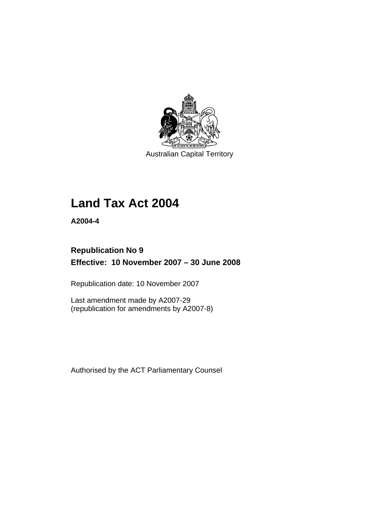

Australian Capital Territory

# **[Land Tax Act 2004](#page-6-0)**

**A2004-4** 

# **Republication No 9 Effective: 10 November 2007 – 30 June 2008**

Republication date: 10 November 2007

Last amendment made by A2007-29 (republication for amendments by A2007-8)

Authorised by the ACT Parliamentary Counsel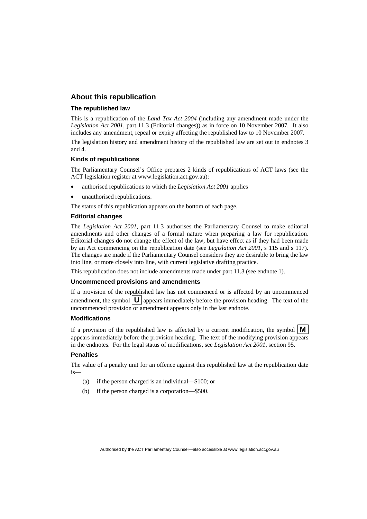### **About this republication**

#### **The republished law**

This is a republication of the *Land Tax Act 2004* (including any amendment made under the *Legislation Act 2001*, part 11.3 (Editorial changes)) as in force on 10 November 2007*.* It also includes any amendment, repeal or expiry affecting the republished law to 10 November 2007.

The legislation history and amendment history of the republished law are set out in endnotes 3 and 4.

#### **Kinds of republications**

The Parliamentary Counsel's Office prepares 2 kinds of republications of ACT laws (see the ACT legislation register at www.legislation.act.gov.au):

- authorised republications to which the *Legislation Act 2001* applies
- unauthorised republications.

The status of this republication appears on the bottom of each page.

#### **Editorial changes**

The *Legislation Act 2001*, part 11.3 authorises the Parliamentary Counsel to make editorial amendments and other changes of a formal nature when preparing a law for republication. Editorial changes do not change the effect of the law, but have effect as if they had been made by an Act commencing on the republication date (see *Legislation Act 2001*, s 115 and s 117). The changes are made if the Parliamentary Counsel considers they are desirable to bring the law into line, or more closely into line, with current legislative drafting practice.

This republication does not include amendments made under part 11.3 (see endnote 1).

#### **Uncommenced provisions and amendments**

If a provision of the republished law has not commenced or is affected by an uncommenced amendment, the symbol  $\mathbf{U}$  appears immediately before the provision heading. The text of the uncommenced provision or amendment appears only in the last endnote.

#### **Modifications**

If a provision of the republished law is affected by a current modification, the symbol  $\mathbf{M}$ appears immediately before the provision heading. The text of the modifying provision appears in the endnotes. For the legal status of modifications, see *Legislation Act 2001*, section 95.

#### **Penalties**

The value of a penalty unit for an offence against this republished law at the republication date is—

- (a) if the person charged is an individual—\$100; or
- (b) if the person charged is a corporation—\$500.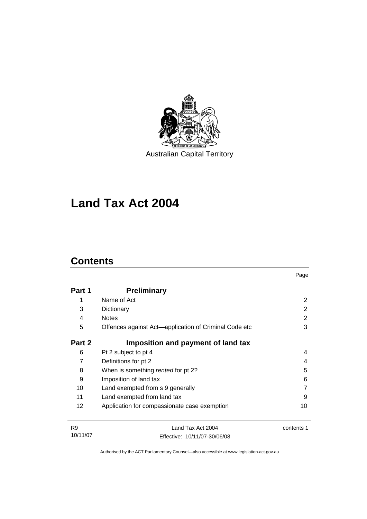

Australian Capital Territory

# **[Land Tax Act 2004](#page-6-0)**

# **Contents**

| Part 1 | <b>Preliminary</b>                                    |    |
|--------|-------------------------------------------------------|----|
| 1      | Name of Act                                           | 2  |
| 3      | Dictionary                                            | 2  |
| 4      | <b>Notes</b>                                          | 2  |
| 5      | Offences against Act—application of Criminal Code etc | 3  |
| Part 2 | Imposition and payment of land tax                    |    |
| 6      | Pt 2 subject to pt 4                                  | 4  |
| 7      | Definitions for pt 2                                  | 4  |
| 8      | When is something rented for pt 2?                    | 5  |
| 9      | Imposition of land tax                                | 6  |
| 10     | Land exempted from s 9 generally                      |    |
| 11     | Land exempted from land tax                           | 9  |
| 12     | Application for compassionate case exemption          | 10 |
|        |                                                       |    |

Page

| <b>R9</b> | Land Tax Act 2004            | contents 1 |
|-----------|------------------------------|------------|
| 10/11/07  | Effective: 10/11/07-30/06/08 |            |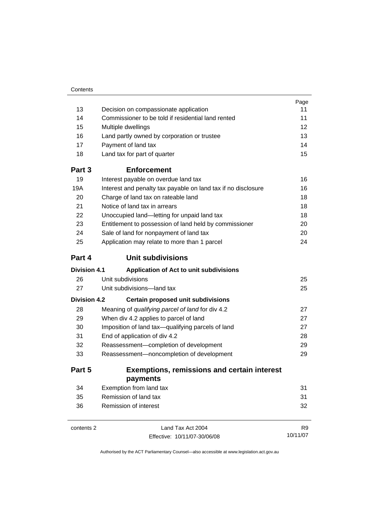|                     |                                                               | Page           |  |
|---------------------|---------------------------------------------------------------|----------------|--|
| 13                  | Decision on compassionate application                         |                |  |
| 14                  | Commissioner to be told if residential land rented            | 11             |  |
| 15                  | Multiple dwellings                                            | 12             |  |
| 16                  | Land partly owned by corporation or trustee                   | 13             |  |
| 17                  | Payment of land tax                                           | 14             |  |
| 18                  | Land tax for part of quarter                                  | 15             |  |
| Part 3              | <b>Enforcement</b>                                            |                |  |
| 19                  | Interest payable on overdue land tax                          | 16             |  |
| 19A                 | Interest and penalty tax payable on land tax if no disclosure | 16             |  |
| 20                  | Charge of land tax on rateable land                           | 18             |  |
| 21                  | Notice of land tax in arrears                                 | 18             |  |
| 22                  | Unoccupied land-letting for unpaid land tax                   | 18             |  |
| 23                  | Entitlement to possession of land held by commissioner        | 20             |  |
| 24                  | Sale of land for nonpayment of land tax                       | 20             |  |
| 25                  | Application may relate to more than 1 parcel                  | 24             |  |
| Part 4              | <b>Unit subdivisions</b>                                      |                |  |
| Division 4.1        | Application of Act to unit subdivisions                       |                |  |
| 26                  | Unit subdivisions                                             | 25             |  |
| 27                  | Unit subdivisions—land tax                                    | 25             |  |
| <b>Division 4.2</b> | <b>Certain proposed unit subdivisions</b>                     |                |  |
| 28                  | Meaning of qualifying parcel of land for div 4.2              | 27             |  |
| 29                  | When div 4.2 applies to parcel of land                        | 27             |  |
| 30                  | Imposition of land tax-qualifying parcels of land             | 27             |  |
| 31                  | End of application of div 4.2                                 | 28             |  |
| 32                  | Reassessment-completion of development                        |                |  |
| 33                  | Reassessment-noncompletion of development                     | 29             |  |
| Part 5              | <b>Exemptions, remissions and certain interest</b>            |                |  |
|                     | payments                                                      |                |  |
| 34                  | Exemption from land tax                                       | 31             |  |
| 35                  | Remission of land tax                                         | 31             |  |
| 36                  | Remission of interest                                         | 32             |  |
| contents 2          | Land Tax Act 2004                                             | R <sub>9</sub> |  |

Effective: 10/11/07-30/06/08

10/11/07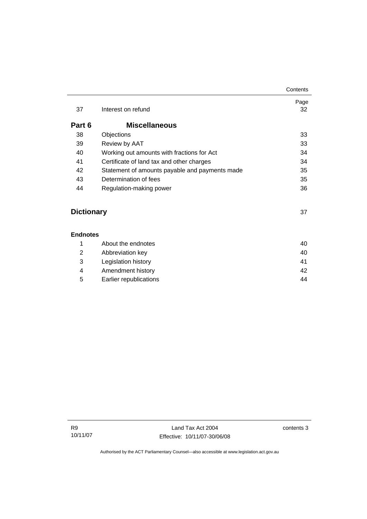|        |                                                | Contents   |
|--------|------------------------------------------------|------------|
| 37     | Interest on refund                             | Page<br>32 |
| Part 6 | <b>Miscellaneous</b>                           |            |
| 38     | Objections                                     | 33         |
| 39     | Review by AAT                                  | 33         |
| 40     | Working out amounts with fractions for Act     | 34         |
| 41     | Certificate of land tax and other charges      | 34         |
| 42     | Statement of amounts payable and payments made | 35         |
| 43     | Determination of fees                          | 35         |
| 44     | Regulation-making power                        | 36         |
|        |                                                |            |
|        |                                                |            |

# **Dictionary** [37](#page-42-0)

### **Endnotes**

| About the endnotes     | 40 |
|------------------------|----|
| Abbreviation key       | 40 |
| Legislation history    | 41 |
| Amendment history      | 42 |
| Earlier republications | 44 |
|                        |    |

contents 3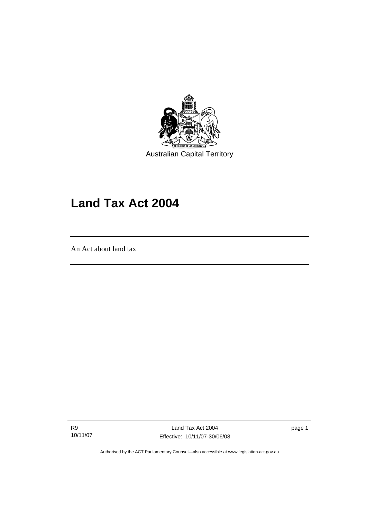<span id="page-6-0"></span>

Australian Capital Territory

# **Land Tax Act 2004**

An Act about land tax

l

R9 10/11/07

Land Tax Act 2004 Effective: 10/11/07-30/06/08 page 1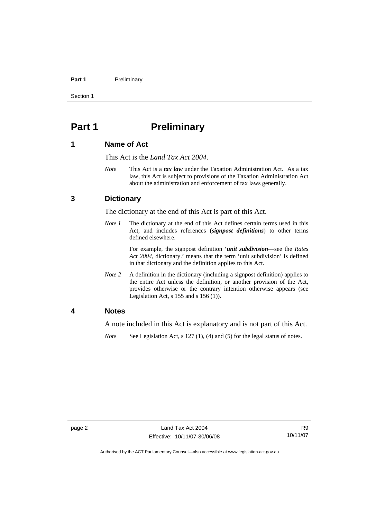#### <span id="page-7-0"></span>Part 1 **Preliminary**

Section 1

# **Part 1** Preliminary

### **1 Name of Act**

This Act is the *Land Tax Act 2004*.

*Note* This Act is a *tax law* under the Taxation Administration Act. As a tax law, this Act is subject to provisions of the Taxation Administration Act about the administration and enforcement of tax laws generally.

### **3 Dictionary**

The dictionary at the end of this Act is part of this Act.

*Note 1* The dictionary at the end of this Act defines certain terms used in this Act, and includes references (*signpost definitions*) to other terms defined elsewhere.

> For example, the signpost definition '*unit subdivision*—see the *Rates Act 2004*, dictionary.' means that the term 'unit subdivision' is defined in that dictionary and the definition applies to this Act.

*Note* 2 A definition in the dictionary (including a signpost definition) applies to the entire Act unless the definition, or another provision of the Act, provides otherwise or the contrary intention otherwise appears (see Legislation Act,  $s$  155 and  $s$  156 (1)).

### **4 Notes**

A note included in this Act is explanatory and is not part of this Act.

*Note* See Legislation Act, s 127 (1), (4) and (5) for the legal status of notes.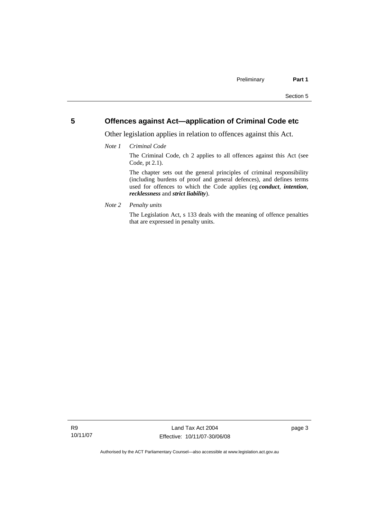### <span id="page-8-0"></span>**5 Offences against Act—application of Criminal Code etc**

Other legislation applies in relation to offences against this Act.

*Note 1 Criminal Code*

The Criminal Code, ch 2 applies to all offences against this Act (see Code, pt 2.1).

The chapter sets out the general principles of criminal responsibility (including burdens of proof and general defences), and defines terms used for offences to which the Code applies (eg *conduct*, *intention*, *recklessness* and *strict liability*).

*Note 2 Penalty units* 

The Legislation Act, s 133 deals with the meaning of offence penalties that are expressed in penalty units.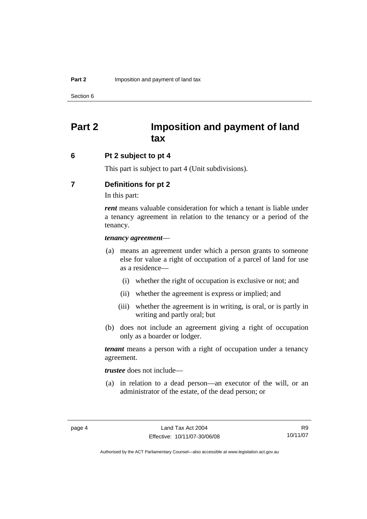<span id="page-9-0"></span>Section 6

# **Part 2 Imposition and payment of land tax**

### **6 Pt 2 subject to pt 4**

This part is subject to part 4 (Unit subdivisions).

### **7 Definitions for pt 2**

In this part:

*rent* means valuable consideration for which a tenant is liable under a tenancy agreement in relation to the tenancy or a period of the tenancy.

#### *tenancy agreement*—

- (a) means an agreement under which a person grants to someone else for value a right of occupation of a parcel of land for use as a residence—
	- (i) whether the right of occupation is exclusive or not; and
	- (ii) whether the agreement is express or implied; and
	- (iii) whether the agreement is in writing, is oral, or is partly in writing and partly oral; but
- (b) does not include an agreement giving a right of occupation only as a boarder or lodger.

*tenant* means a person with a right of occupation under a tenancy agreement.

*trustee* does not include—

 (a) in relation to a dead person—an executor of the will, or an administrator of the estate, of the dead person; or

R9 10/11/07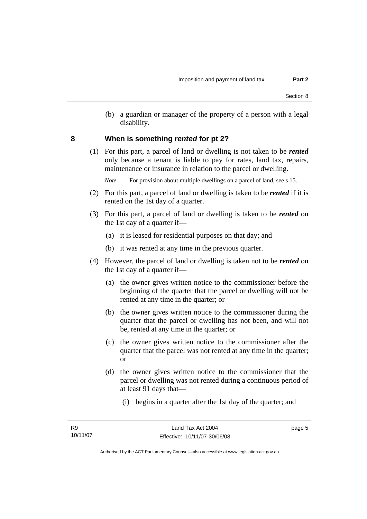(b) a guardian or manager of the property of a person with a legal disability.

### <span id="page-10-0"></span>**8 When is something** *rented* **for pt 2?**

 (1) For this part, a parcel of land or dwelling is not taken to be *rented* only because a tenant is liable to pay for rates, land tax, repairs, maintenance or insurance in relation to the parcel or dwelling.

*Note* For provision about multiple dwellings on a parcel of land, see s 15.

- (2) For this part, a parcel of land or dwelling is taken to be *rented* if it is rented on the 1st day of a quarter.
- (3) For this part, a parcel of land or dwelling is taken to be *rented* on the 1st day of a quarter if—
	- (a) it is leased for residential purposes on that day; and
	- (b) it was rented at any time in the previous quarter.
- (4) However, the parcel of land or dwelling is taken not to be *rented* on the 1st day of a quarter if—
	- (a) the owner gives written notice to the commissioner before the beginning of the quarter that the parcel or dwelling will not be rented at any time in the quarter; or
	- (b) the owner gives written notice to the commissioner during the quarter that the parcel or dwelling has not been, and will not be, rented at any time in the quarter; or
	- (c) the owner gives written notice to the commissioner after the quarter that the parcel was not rented at any time in the quarter; or
	- (d) the owner gives written notice to the commissioner that the parcel or dwelling was not rented during a continuous period of at least 91 days that—
		- (i) begins in a quarter after the 1st day of the quarter; and

page 5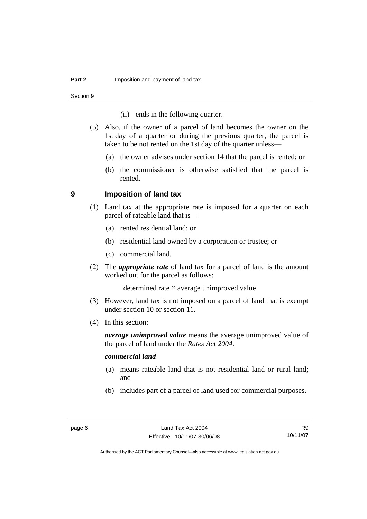<span id="page-11-0"></span>Section 9

- (ii) ends in the following quarter.
- (5) Also, if the owner of a parcel of land becomes the owner on the 1st day of a quarter or during the previous quarter, the parcel is taken to be not rented on the 1st day of the quarter unless—
	- (a) the owner advises under section 14 that the parcel is rented; or
	- (b) the commissioner is otherwise satisfied that the parcel is rented.

### **9 Imposition of land tax**

- (1) Land tax at the appropriate rate is imposed for a quarter on each parcel of rateable land that is—
	- (a) rented residential land; or
	- (b) residential land owned by a corporation or trustee; or
	- (c) commercial land.
- (2) The *appropriate rate* of land tax for a parcel of land is the amount worked out for the parcel as follows:

determined rate  $\times$  average unimproved value

- (3) However, land tax is not imposed on a parcel of land that is exempt under section 10 or section 11.
- (4) In this section:

*average unimproved value* means the average unimproved value of the parcel of land under the *Rates Act 2004*.

### *commercial land*—

- (a) means rateable land that is not residential land or rural land; and
- (b) includes part of a parcel of land used for commercial purposes.

R9 10/11/07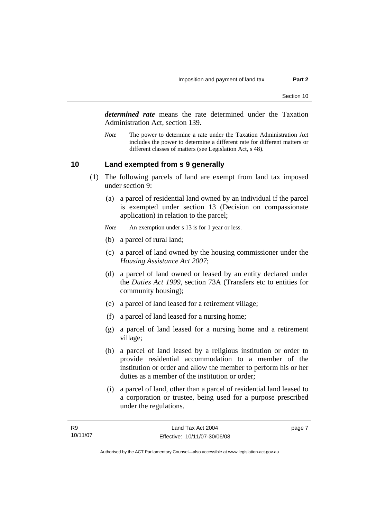<span id="page-12-0"></span>*determined rate* means the rate determined under the Taxation Administration Act, section 139.

*Note* The power to determine a rate under the Taxation Administration Act includes the power to determine a different rate for different matters or different classes of matters (see Legislation Act, s 48).

### **10 Land exempted from s 9 generally**

- (1) The following parcels of land are exempt from land tax imposed under section 9:
	- (a) a parcel of residential land owned by an individual if the parcel is exempted under section 13 (Decision on compassionate application) in relation to the parcel;
	- *Note* An exemption under s 13 is for 1 year or less.
	- (b) a parcel of rural land;
	- (c) a parcel of land owned by the housing commissioner under the *Housing Assistance Act 2007*;
	- (d) a parcel of land owned or leased by an entity declared under the *Duties Act 1999*, section 73A (Transfers etc to entities for community housing);
	- (e) a parcel of land leased for a retirement village;
	- (f) a parcel of land leased for a nursing home;
	- (g) a parcel of land leased for a nursing home and a retirement village;
	- (h) a parcel of land leased by a religious institution or order to provide residential accommodation to a member of the institution or order and allow the member to perform his or her duties as a member of the institution or order;
	- (i) a parcel of land, other than a parcel of residential land leased to a corporation or trustee, being used for a purpose prescribed under the regulations.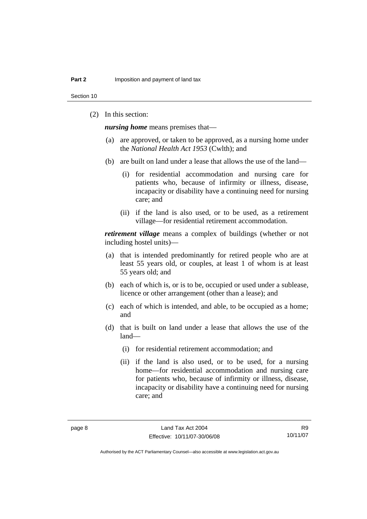Section 10

(2) In this section:

*nursing home* means premises that—

- (a) are approved, or taken to be approved, as a nursing home under the *National Health Act 1953* (Cwlth); and
- (b) are built on land under a lease that allows the use of the land—
	- (i) for residential accommodation and nursing care for patients who, because of infirmity or illness, disease, incapacity or disability have a continuing need for nursing care; and
	- (ii) if the land is also used, or to be used, as a retirement village—for residential retirement accommodation.

*retirement village* means a complex of buildings (whether or not including hostel units)—

- (a) that is intended predominantly for retired people who are at least 55 years old, or couples, at least 1 of whom is at least 55 years old; and
- (b) each of which is, or is to be, occupied or used under a sublease, licence or other arrangement (other than a lease); and
- (c) each of which is intended, and able, to be occupied as a home; and
- (d) that is built on land under a lease that allows the use of the land—
	- (i) for residential retirement accommodation; and
	- (ii) if the land is also used, or to be used, for a nursing home—for residential accommodation and nursing care for patients who, because of infirmity or illness, disease, incapacity or disability have a continuing need for nursing care; and

R9 10/11/07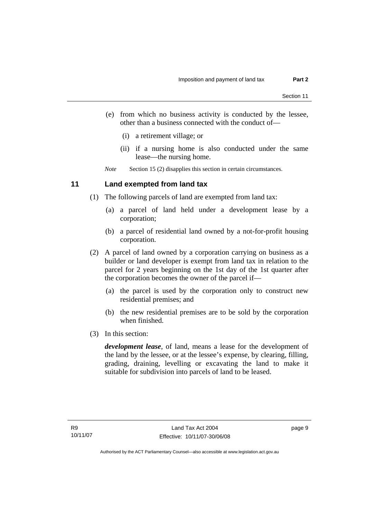- <span id="page-14-0"></span> (e) from which no business activity is conducted by the lessee, other than a business connected with the conduct of—
	- (i) a retirement village; or
	- (ii) if a nursing home is also conducted under the same lease—the nursing home.

*Note* Section 15 (2) disapplies this section in certain circumstances.

### **11 Land exempted from land tax**

- (1) The following parcels of land are exempted from land tax:
	- (a) a parcel of land held under a development lease by a corporation;
	- (b) a parcel of residential land owned by a not-for-profit housing corporation.
- (2) A parcel of land owned by a corporation carrying on business as a builder or land developer is exempt from land tax in relation to the parcel for 2 years beginning on the 1st day of the 1st quarter after the corporation becomes the owner of the parcel if—
	- (a) the parcel is used by the corporation only to construct new residential premises; and
	- (b) the new residential premises are to be sold by the corporation when finished.
- (3) In this section:

*development lease*, of land, means a lease for the development of the land by the lessee, or at the lessee's expense, by clearing, filling, grading, draining, levelling or excavating the land to make it suitable for subdivision into parcels of land to be leased.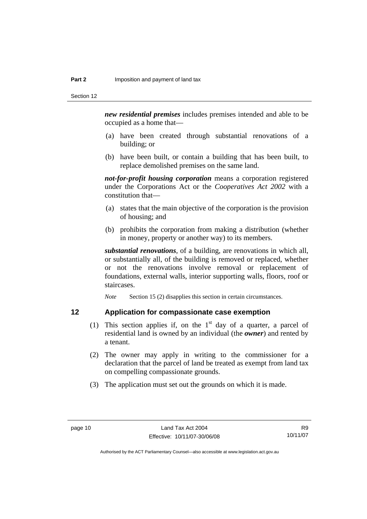<span id="page-15-0"></span>*new residential premises* includes premises intended and able to be occupied as a home that—

- (a) have been created through substantial renovations of a building; or
- (b) have been built, or contain a building that has been built, to replace demolished premises on the same land.

*not-for-profit housing corporation* means a corporation registered under the Corporations Act or the *Cooperatives Act 2002* with a constitution that—

- (a) states that the main objective of the corporation is the provision of housing; and
- (b) prohibits the corporation from making a distribution (whether in money, property or another way) to its members.

*substantial renovations*, of a building, are renovations in which all, or substantially all, of the building is removed or replaced, whether or not the renovations involve removal or replacement of foundations, external walls, interior supporting walls, floors, roof or staircases.

*Note* Section 15 (2) disapplies this section in certain circumstances.

### **12 Application for compassionate case exemption**

- (1) This section applies if, on the  $1<sup>st</sup>$  day of a quarter, a parcel of residential land is owned by an individual (the *owner*) and rented by a tenant.
- (2) The owner may apply in writing to the commissioner for a declaration that the parcel of land be treated as exempt from land tax on compelling compassionate grounds.
- (3) The application must set out the grounds on which it is made.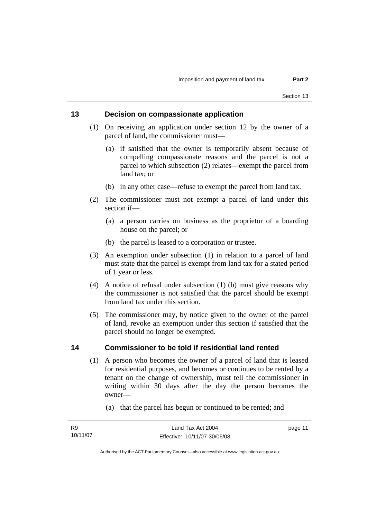### <span id="page-16-0"></span>**13 Decision on compassionate application**

- (1) On receiving an application under section 12 by the owner of a parcel of land, the commissioner must—
	- (a) if satisfied that the owner is temporarily absent because of compelling compassionate reasons and the parcel is not a parcel to which subsection (2) relates—exempt the parcel from land tax; or
	- (b) in any other case—refuse to exempt the parcel from land tax.
- (2) The commissioner must not exempt a parcel of land under this section if—
	- (a) a person carries on business as the proprietor of a boarding house on the parcel; or
	- (b) the parcel is leased to a corporation or trustee.
- (3) An exemption under subsection (1) in relation to a parcel of land must state that the parcel is exempt from land tax for a stated period of 1 year or less.
- (4) A notice of refusal under subsection (1) (b) must give reasons why the commissioner is not satisfied that the parcel should be exempt from land tax under this section.
- (5) The commissioner may, by notice given to the owner of the parcel of land, revoke an exemption under this section if satisfied that the parcel should no longer be exempted.

### **14 Commissioner to be told if residential land rented**

- (1) A person who becomes the owner of a parcel of land that is leased for residential purposes, and becomes or continues to be rented by a tenant on the change of ownership, must tell the commissioner in writing within 30 days after the day the person becomes the owner—
	- (a) that the parcel has begun or continued to be rented; and

Authorised by the ACT Parliamentary Counsel—also accessible at www.legislation.act.gov.au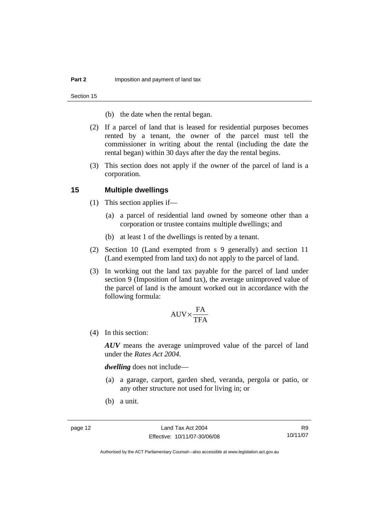<span id="page-17-0"></span>Section 15

- (b) the date when the rental began.
- (2) If a parcel of land that is leased for residential purposes becomes rented by a tenant, the owner of the parcel must tell the commissioner in writing about the rental (including the date the rental began) within 30 days after the day the rental begins.
- (3) This section does not apply if the owner of the parcel of land is a corporation.

### **15 Multiple dwellings**

- (1) This section applies if—
	- (a) a parcel of residential land owned by someone other than a corporation or trustee contains multiple dwellings; and
	- (b) at least 1 of the dwellings is rented by a tenant.
- (2) Section 10 (Land exempted from s 9 generally) and section 11 (Land exempted from land tax) do not apply to the parcel of land.
- (3) In working out the land tax payable for the parcel of land under section 9 (Imposition of land tax), the average unimproved value of the parcel of land is the amount worked out in accordance with the following formula:

$$
\text{AUV} {\times} \frac{\text{FA}}{\text{TFA}}
$$

(4) In this section:

*AUV* means the average unimproved value of the parcel of land under the *Rates Act 2004*.

*dwelling* does not include—

- (a) a garage, carport, garden shed, veranda, pergola or patio, or any other structure not used for living in; or
- (b) a unit.

R9 10/11/07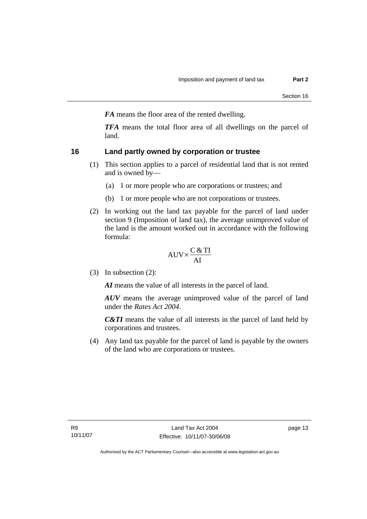<span id="page-18-0"></span>*FA* means the floor area of the rented dwelling.

*TFA* means the total floor area of all dwellings on the parcel of land.

### **16 Land partly owned by corporation or trustee**

- (1) This section applies to a parcel of residential land that is not rented and is owned by—
	- (a) 1 or more people who are corporations or trustees; and
	- (b) 1 or more people who are not corporations or trustees.
- (2) In working out the land tax payable for the parcel of land under section 9 (Imposition of land tax), the average unimproved value of the land is the amount worked out in accordance with the following formula:

$$
AUV \times \frac{C & TI}{AI}
$$

(3) In subsection (2):

*AI* means the value of all interests in the parcel of land.

*AUV* means the average unimproved value of the parcel of land under the *Rates Act 2004*.

*C&TI* means the value of all interests in the parcel of land held by corporations and trustees.

 (4) Any land tax payable for the parcel of land is payable by the owners of the land who are corporations or trustees.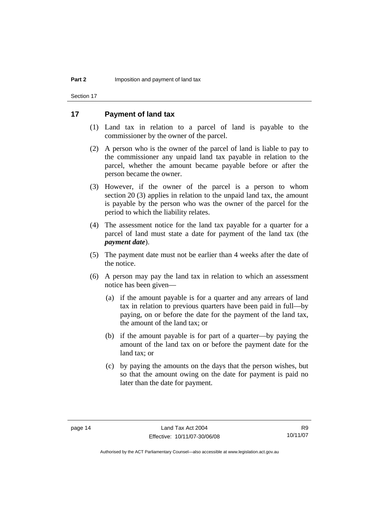<span id="page-19-0"></span>Section 17

### **17 Payment of land tax**

- (1) Land tax in relation to a parcel of land is payable to the commissioner by the owner of the parcel.
- (2) A person who is the owner of the parcel of land is liable to pay to the commissioner any unpaid land tax payable in relation to the parcel, whether the amount became payable before or after the person became the owner.
- (3) However, if the owner of the parcel is a person to whom section 20 (3) applies in relation to the unpaid land tax, the amount is payable by the person who was the owner of the parcel for the period to which the liability relates.
- (4) The assessment notice for the land tax payable for a quarter for a parcel of land must state a date for payment of the land tax (the *payment date*).
- (5) The payment date must not be earlier than 4 weeks after the date of the notice.
- (6) A person may pay the land tax in relation to which an assessment notice has been given—
	- (a) if the amount payable is for a quarter and any arrears of land tax in relation to previous quarters have been paid in full—by paying, on or before the date for the payment of the land tax, the amount of the land tax; or
	- (b) if the amount payable is for part of a quarter—by paying the amount of the land tax on or before the payment date for the land tax; or
	- (c) by paying the amounts on the days that the person wishes, but so that the amount owing on the date for payment is paid no later than the date for payment.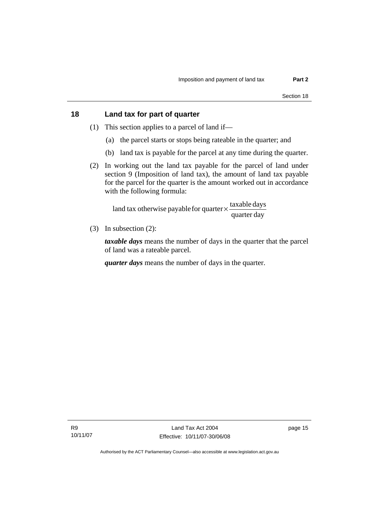### <span id="page-20-0"></span>**18 Land tax for part of quarter**

- (1) This section applies to a parcel of land if—
	- (a) the parcel starts or stops being rateable in the quarter; and
	- (b) land tax is payable for the parcel at any time during the quarter.
- (2) In working out the land tax payable for the parcel of land under section 9 (Imposition of land tax), the amount of land tax payable for the parcel for the quarter is the amount worked out in accordance with the following formula:

quarter day land tax otherwise payable for quarter  $\times$   $\frac{\text{taxable days}}{\text{ax}$ 

(3) In subsection (2):

*taxable days* means the number of days in the quarter that the parcel of land was a rateable parcel.

*quarter days* means the number of days in the quarter.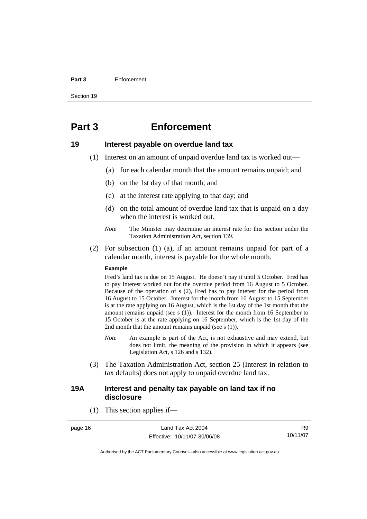#### <span id="page-21-0"></span>**Part 3** Enforcement

Section 19

## **Part 3 Enforcement**

### **19 Interest payable on overdue land tax**

- (1) Interest on an amount of unpaid overdue land tax is worked out—
	- (a) for each calendar month that the amount remains unpaid; and
	- (b) on the 1st day of that month; and
	- (c) at the interest rate applying to that day; and
	- (d) on the total amount of overdue land tax that is unpaid on a day when the interest is worked out.
	- *Note* The Minister may determine an interest rate for this section under the Taxation Administration Act, section 139.
- (2) For subsection (1) (a), if an amount remains unpaid for part of a calendar month, interest is payable for the whole month.

#### **Example**

Fred's land tax is due on 15 August. He doesn't pay it until 5 October. Fred has to pay interest worked out for the overdue period from 16 August to 5 October. Because of the operation of s (2), Fred has to pay interest for the period from 16 August to 15 October. Interest for the month from 16 August to 15 September is at the rate applying on 16 August, which is the 1st day of the 1st month that the amount remains unpaid (see s (1)). Interest for the month from 16 September to 15 October is at the rate applying on 16 September, which is the 1st day of the 2nd month that the amount remains unpaid (see s (1)).

- *Note* An example is part of the Act, is not exhaustive and may extend, but does not limit, the meaning of the provision in which it appears (see Legislation Act, s 126 and s 132).
- (3) The Taxation Administration Act, section 25 (Interest in relation to tax defaults) does not apply to unpaid overdue land tax.

### **19A Interest and penalty tax payable on land tax if no disclosure**

(1) This section applies if—

page 16 Land Tax Act 2004 Effective: 10/11/07-30/06/08

R9 10/11/07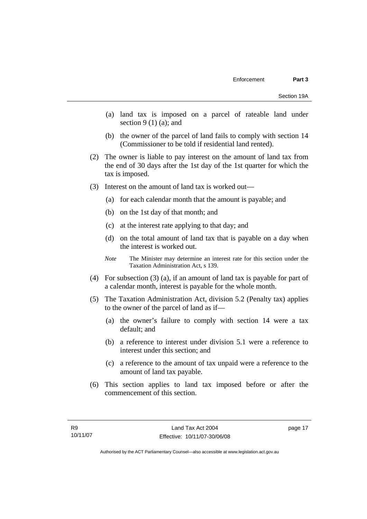- (a) land tax is imposed on a parcel of rateable land under section  $9(1)(a)$ ; and
- (b) the owner of the parcel of land fails to comply with section 14 (Commissioner to be told if residential land rented).
- (2) The owner is liable to pay interest on the amount of land tax from the end of 30 days after the 1st day of the 1st quarter for which the tax is imposed.
- (3) Interest on the amount of land tax is worked out—
	- (a) for each calendar month that the amount is payable; and
	- (b) on the 1st day of that month; and
	- (c) at the interest rate applying to that day; and
	- (d) on the total amount of land tax that is payable on a day when the interest is worked out.
	- *Note* The Minister may determine an interest rate for this section under the Taxation Administration Act, s 139.
- (4) For subsection (3) (a), if an amount of land tax is payable for part of a calendar month, interest is payable for the whole month.
- (5) The Taxation Administration Act, division 5.2 (Penalty tax) applies to the owner of the parcel of land as if—
	- (a) the owner's failure to comply with section 14 were a tax default; and
	- (b) a reference to interest under division 5.1 were a reference to interest under this section; and
	- (c) a reference to the amount of tax unpaid were a reference to the amount of land tax payable.
- (6) This section applies to land tax imposed before or after the commencement of this section.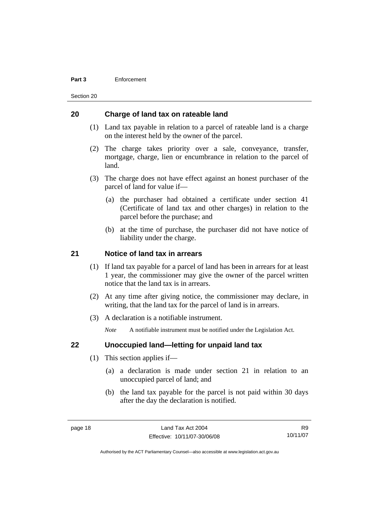#### <span id="page-23-0"></span>**Part 3** Enforcement

Section 20

### **20 Charge of land tax on rateable land**

- (1) Land tax payable in relation to a parcel of rateable land is a charge on the interest held by the owner of the parcel.
- (2) The charge takes priority over a sale, conveyance, transfer, mortgage, charge, lien or encumbrance in relation to the parcel of land.
- (3) The charge does not have effect against an honest purchaser of the parcel of land for value if—
	- (a) the purchaser had obtained a certificate under section 41 (Certificate of land tax and other charges) in relation to the parcel before the purchase; and
	- (b) at the time of purchase, the purchaser did not have notice of liability under the charge.

### **21 Notice of land tax in arrears**

- (1) If land tax payable for a parcel of land has been in arrears for at least 1 year, the commissioner may give the owner of the parcel written notice that the land tax is in arrears.
- (2) At any time after giving notice, the commissioner may declare, in writing, that the land tax for the parcel of land is in arrears.
- (3) A declaration is a notifiable instrument.

*Note* A notifiable instrument must be notified under the Legislation Act.

### **22 Unoccupied land—letting for unpaid land tax**

- (1) This section applies if—
	- (a) a declaration is made under section 21 in relation to an unoccupied parcel of land; and
	- (b) the land tax payable for the parcel is not paid within 30 days after the day the declaration is notified.

R9 10/11/07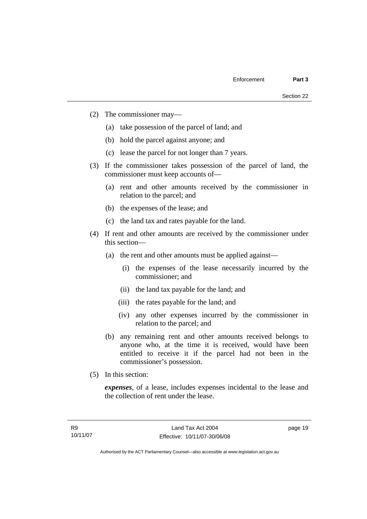- (2) The commissioner may—
	- (a) take possession of the parcel of land; and
	- (b) hold the parcel against anyone; and
	- (c) lease the parcel for not longer than 7 years.
- (3) If the commissioner takes possession of the parcel of land, the commissioner must keep accounts of—
	- (a) rent and other amounts received by the commissioner in relation to the parcel; and
	- (b) the expenses of the lease; and
	- (c) the land tax and rates payable for the land.
- (4) If rent and other amounts are received by the commissioner under this section—
	- (a) the rent and other amounts must be applied against—
		- (i) the expenses of the lease necessarily incurred by the commissioner; and
		- (ii) the land tax payable for the land; and
		- (iii) the rates payable for the land; and
		- (iv) any other expenses incurred by the commissioner in relation to the parcel; and
	- (b) any remaining rent and other amounts received belongs to anyone who, at the time it is received, would have been entitled to receive it if the parcel had not been in the commissioner's possession.
- (5) In this section:

*expenses*, of a lease, includes expenses incidental to the lease and the collection of rent under the lease.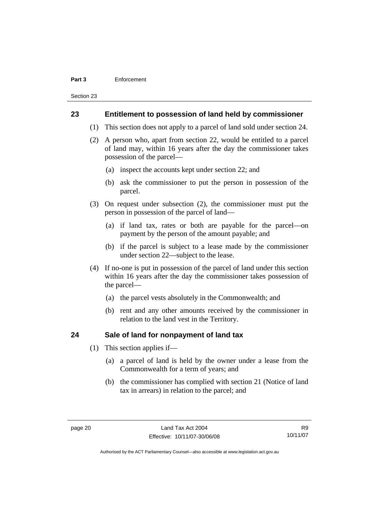#### <span id="page-25-0"></span>**Part 3** Enforcement

Section 23

### **23 Entitlement to possession of land held by commissioner**

- (1) This section does not apply to a parcel of land sold under section 24.
- (2) A person who, apart from section 22, would be entitled to a parcel of land may, within 16 years after the day the commissioner takes possession of the parcel—
	- (a) inspect the accounts kept under section 22; and
	- (b) ask the commissioner to put the person in possession of the parcel.
- (3) On request under subsection (2), the commissioner must put the person in possession of the parcel of land—
	- (a) if land tax, rates or both are payable for the parcel—on payment by the person of the amount payable; and
	- (b) if the parcel is subject to a lease made by the commissioner under section 22—subject to the lease.
- (4) If no-one is put in possession of the parcel of land under this section within 16 years after the day the commissioner takes possession of the parcel—
	- (a) the parcel vests absolutely in the Commonwealth; and
	- (b) rent and any other amounts received by the commissioner in relation to the land vest in the Territory.

### **24 Sale of land for nonpayment of land tax**

- (1) This section applies if—
	- (a) a parcel of land is held by the owner under a lease from the Commonwealth for a term of years; and
	- (b) the commissioner has complied with section 21 (Notice of land tax in arrears) in relation to the parcel; and

R9 10/11/07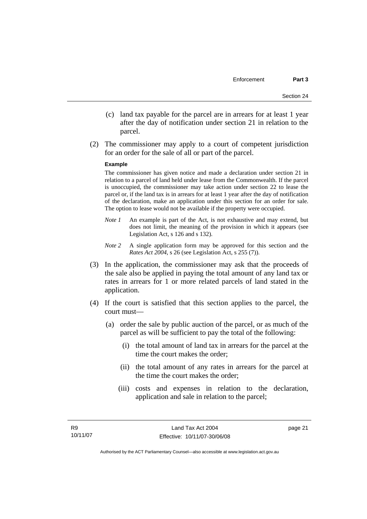- (c) land tax payable for the parcel are in arrears for at least 1 year after the day of notification under section 21 in relation to the parcel.
- (2) The commissioner may apply to a court of competent jurisdiction for an order for the sale of all or part of the parcel.

#### **Example**

The commissioner has given notice and made a declaration under section 21 in relation to a parcel of land held under lease from the Commonwealth. If the parcel is unoccupied, the commissioner may take action under section 22 to lease the parcel or, if the land tax is in arrears for at least 1 year after the day of notification of the declaration, make an application under this section for an order for sale. The option to lease would not be available if the property were occupied.

- *Note 1* An example is part of the Act, is not exhaustive and may extend, but does not limit, the meaning of the provision in which it appears (see Legislation Act, s 126 and s 132).
- *Note* 2 A single application form may be approved for this section and the *Rates Act 2004*, s 26 (see Legislation Act, s 255 (7)).
- (3) In the application, the commissioner may ask that the proceeds of the sale also be applied in paying the total amount of any land tax or rates in arrears for 1 or more related parcels of land stated in the application.
- (4) If the court is satisfied that this section applies to the parcel, the court must—
	- (a) order the sale by public auction of the parcel, or as much of the parcel as will be sufficient to pay the total of the following:
		- (i) the total amount of land tax in arrears for the parcel at the time the court makes the order;
		- (ii) the total amount of any rates in arrears for the parcel at the time the court makes the order;
		- (iii) costs and expenses in relation to the declaration, application and sale in relation to the parcel;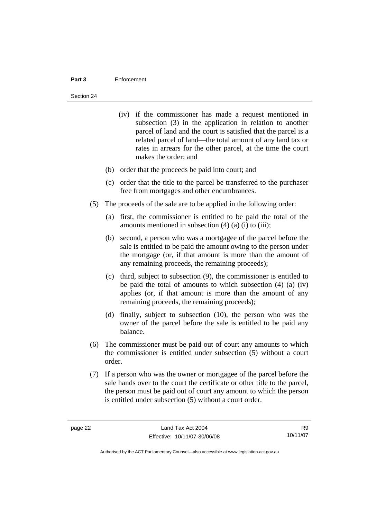#### **Part 3** Enforcement

#### Section 24

- (iv) if the commissioner has made a request mentioned in subsection (3) in the application in relation to another parcel of land and the court is satisfied that the parcel is a related parcel of land—the total amount of any land tax or rates in arrears for the other parcel, at the time the court makes the order; and
- (b) order that the proceeds be paid into court; and
- (c) order that the title to the parcel be transferred to the purchaser free from mortgages and other encumbrances.
- (5) The proceeds of the sale are to be applied in the following order:
	- (a) first, the commissioner is entitled to be paid the total of the amounts mentioned in subsection  $(4)$   $(a)$   $(i)$  to  $(iii)$ ;
	- (b) second, a person who was a mortgagee of the parcel before the sale is entitled to be paid the amount owing to the person under the mortgage (or, if that amount is more than the amount of any remaining proceeds, the remaining proceeds);
	- (c) third, subject to subsection (9), the commissioner is entitled to be paid the total of amounts to which subsection (4) (a) (iv) applies (or, if that amount is more than the amount of any remaining proceeds, the remaining proceeds);
	- (d) finally, subject to subsection (10), the person who was the owner of the parcel before the sale is entitled to be paid any balance.
- (6) The commissioner must be paid out of court any amounts to which the commissioner is entitled under subsection (5) without a court order.
- (7) If a person who was the owner or mortgagee of the parcel before the sale hands over to the court the certificate or other title to the parcel, the person must be paid out of court any amount to which the person is entitled under subsection (5) without a court order.

R9 10/11/07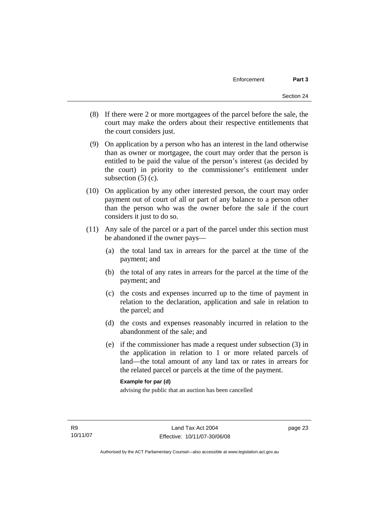- (8) If there were 2 or more mortgagees of the parcel before the sale, the court may make the orders about their respective entitlements that the court considers just.
- (9) On application by a person who has an interest in the land otherwise than as owner or mortgagee, the court may order that the person is entitled to be paid the value of the person's interest (as decided by the court) in priority to the commissioner's entitlement under subsection  $(5)$  (c).
- (10) On application by any other interested person, the court may order payment out of court of all or part of any balance to a person other than the person who was the owner before the sale if the court considers it just to do so.
- (11) Any sale of the parcel or a part of the parcel under this section must be abandoned if the owner pays—
	- (a) the total land tax in arrears for the parcel at the time of the payment; and
	- (b) the total of any rates in arrears for the parcel at the time of the payment; and
	- (c) the costs and expenses incurred up to the time of payment in relation to the declaration, application and sale in relation to the parcel; and
	- (d) the costs and expenses reasonably incurred in relation to the abandonment of the sale; and
	- (e) if the commissioner has made a request under subsection (3) in the application in relation to 1 or more related parcels of land—the total amount of any land tax or rates in arrears for the related parcel or parcels at the time of the payment.

### **Example for par (d)**

advising the public that an auction has been cancelled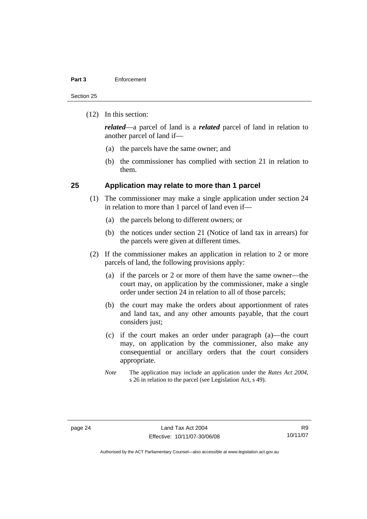#### <span id="page-29-0"></span>**Part 3** Enforcement

Section 25

(12) In this section:

*related*—a parcel of land is a *related* parcel of land in relation to another parcel of land if—

- (a) the parcels have the same owner; and
- (b) the commissioner has complied with section 21 in relation to them.

### **25 Application may relate to more than 1 parcel**

- (1) The commissioner may make a single application under section 24 in relation to more than 1 parcel of land even if—
	- (a) the parcels belong to different owners; or
	- (b) the notices under section 21 (Notice of land tax in arrears) for the parcels were given at different times.
- (2) If the commissioner makes an application in relation to 2 or more parcels of land, the following provisions apply:
	- (a) if the parcels or 2 or more of them have the same owner—the court may, on application by the commissioner, make a single order under section 24 in relation to all of those parcels;
	- (b) the court may make the orders about apportionment of rates and land tax, and any other amounts payable, that the court considers just;
	- (c) if the court makes an order under paragraph (a)—the court may, on application by the commissioner, also make any consequential or ancillary orders that the court considers appropriate.
	- *Note* The application may include an application under the *Rates Act 2004*, s 26 in relation to the parcel (see Legislation Act, s 49).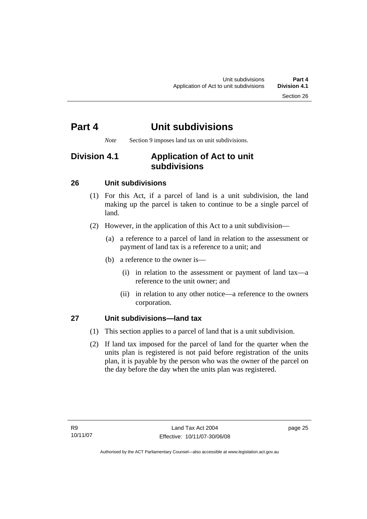*Note* Section 9 imposes land tax on unit subdivisions.

## <span id="page-30-0"></span>**Division 4.1 Application of Act to unit subdivisions**

### **26 Unit subdivisions**

- (1) For this Act, if a parcel of land is a unit subdivision, the land making up the parcel is taken to continue to be a single parcel of land.
- (2) However, in the application of this Act to a unit subdivision—
	- (a) a reference to a parcel of land in relation to the assessment or payment of land tax is a reference to a unit; and
	- (b) a reference to the owner is—
		- (i) in relation to the assessment or payment of land tax—a reference to the unit owner; and
		- (ii) in relation to any other notice—a reference to the owners corporation.

### **27 Unit subdivisions—land tax**

- (1) This section applies to a parcel of land that is a unit subdivision.
- (2) If land tax imposed for the parcel of land for the quarter when the units plan is registered is not paid before registration of the units plan, it is payable by the person who was the owner of the parcel on the day before the day when the units plan was registered.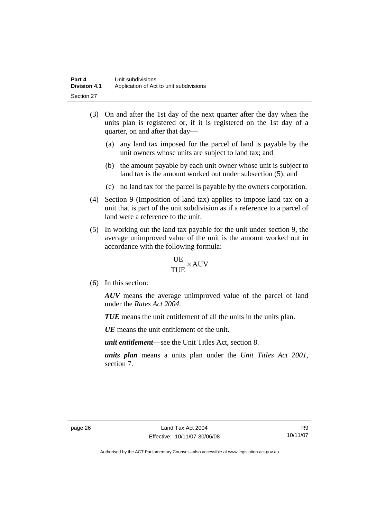- (3) On and after the 1st day of the next quarter after the day when the units plan is registered or, if it is registered on the 1st day of a quarter, on and after that day—
	- (a) any land tax imposed for the parcel of land is payable by the unit owners whose units are subject to land tax; and
	- (b) the amount payable by each unit owner whose unit is subject to land tax is the amount worked out under subsection (5); and
	- (c) no land tax for the parcel is payable by the owners corporation.
- (4) Section 9 (Imposition of land tax) applies to impose land tax on a unit that is part of the unit subdivision as if a reference to a parcel of land were a reference to the unit.
- (5) In working out the land tax payable for the unit under section 9, the average unimproved value of the unit is the amount worked out in accordance with the following formula:

$$
\frac{UE}{TUE}\times \text{AUV}
$$

(6) In this section:

*AUV* means the average unimproved value of the parcel of land under the *Rates Act 2004*.

*TUE* means the unit entitlement of all the units in the units plan.

*UE*means the unit entitlement of the unit.

*unit entitlement*—see the Unit Titles Act, section 8.

*units plan* means a units plan under the *Unit Titles Act 2001*, section 7.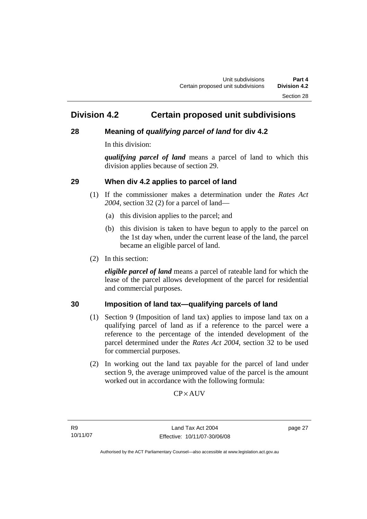## <span id="page-32-0"></span>**Division 4.2 Certain proposed unit subdivisions**

### **28 Meaning of** *qualifying parcel of land* **for div 4.2**

In this division:

*qualifying parcel of land* means a parcel of land to which this division applies because of section 29.

### **29 When div 4.2 applies to parcel of land**

- (1) If the commissioner makes a determination under the *Rates Act 2004*, section 32 (2) for a parcel of land—
	- (a) this division applies to the parcel; and
	- (b) this division is taken to have begun to apply to the parcel on the 1st day when, under the current lease of the land, the parcel became an eligible parcel of land.
- (2) In this section:

*eligible parcel of land* means a parcel of rateable land for which the lease of the parcel allows development of the parcel for residential and commercial purposes.

### **30 Imposition of land tax—qualifying parcels of land**

- (1) Section 9 (Imposition of land tax) applies to impose land tax on a qualifying parcel of land as if a reference to the parcel were a reference to the percentage of the intended development of the parcel determined under the *Rates Act 2004*, section 32 to be used for commercial purposes.
- (2) In working out the land tax payable for the parcel of land under section 9, the average unimproved value of the parcel is the amount worked out in accordance with the following formula:

**CP**×AUV

R9 10/11/07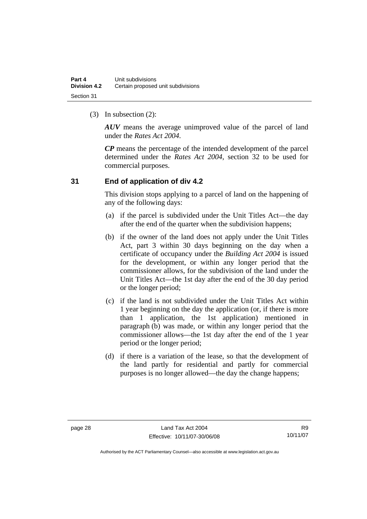<span id="page-33-0"></span>(3) In subsection (2):

*AUV* means the average unimproved value of the parcel of land under the *Rates Act 2004*.

*CP* means the percentage of the intended development of the parcel determined under the *Rates Act 2004*, section 32 to be used for commercial purposes.

### **31 End of application of div 4.2**

This division stops applying to a parcel of land on the happening of any of the following days:

- (a) if the parcel is subdivided under the Unit Titles Act—the day after the end of the quarter when the subdivision happens;
- (b) if the owner of the land does not apply under the Unit Titles Act, part 3 within 30 days beginning on the day when a certificate of occupancy under the *Building Act 2004* is issued for the development, or within any longer period that the commissioner allows, for the subdivision of the land under the Unit Titles Act—the 1st day after the end of the 30 day period or the longer period;
- (c) if the land is not subdivided under the Unit Titles Act within 1 year beginning on the day the application (or, if there is more than 1 application, the 1st application) mentioned in paragraph (b) was made, or within any longer period that the commissioner allows—the 1st day after the end of the 1 year period or the longer period;
- (d) if there is a variation of the lease, so that the development of the land partly for residential and partly for commercial purposes is no longer allowed—the day the change happens;

R9 10/11/07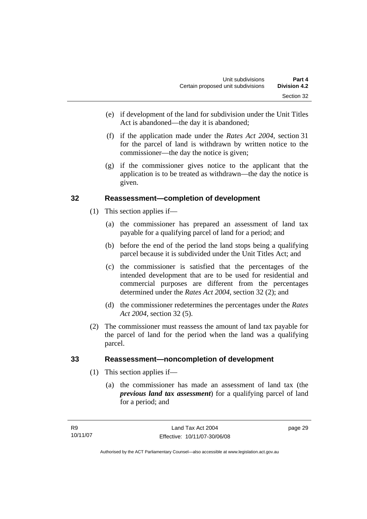- <span id="page-34-0"></span> (e) if development of the land for subdivision under the Unit Titles Act is abandoned—the day it is abandoned;
- (f) if the application made under the *Rates Act 2004*, section 31 for the parcel of land is withdrawn by written notice to the commissioner—the day the notice is given;
- (g) if the commissioner gives notice to the applicant that the application is to be treated as withdrawn—the day the notice is given.

### **32 Reassessment—completion of development**

- (1) This section applies if—
	- (a) the commissioner has prepared an assessment of land tax payable for a qualifying parcel of land for a period; and
	- (b) before the end of the period the land stops being a qualifying parcel because it is subdivided under the Unit Titles Act; and
	- (c) the commissioner is satisfied that the percentages of the intended development that are to be used for residential and commercial purposes are different from the percentages determined under the *Rates Act 2004*, section 32 (2); and
	- (d) the commissioner redetermines the percentages under the *Rates Act 2004*, section 32 (5).
- (2) The commissioner must reassess the amount of land tax payable for the parcel of land for the period when the land was a qualifying parcel.

### **33 Reassessment—noncompletion of development**

- (1) This section applies if—
	- (a) the commissioner has made an assessment of land tax (the *previous land tax assessment*) for a qualifying parcel of land for a period; and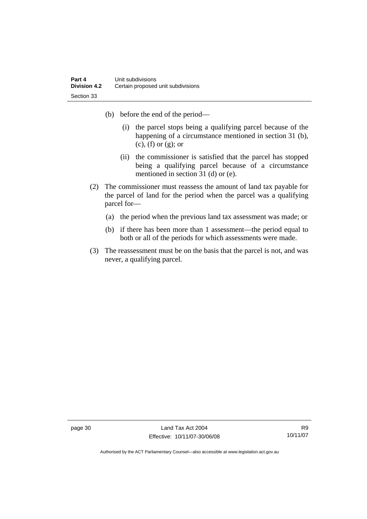- (b) before the end of the period—
	- (i) the parcel stops being a qualifying parcel because of the happening of a circumstance mentioned in section 31 (b), (c), (f) or (g); or
	- (ii) the commissioner is satisfied that the parcel has stopped being a qualifying parcel because of a circumstance mentioned in section 31 (d) or (e).
- (2) The commissioner must reassess the amount of land tax payable for the parcel of land for the period when the parcel was a qualifying parcel for—
	- (a) the period when the previous land tax assessment was made; or
	- (b) if there has been more than 1 assessment—the period equal to both or all of the periods for which assessments were made.
- (3) The reassessment must be on the basis that the parcel is not, and was never, a qualifying parcel.

page 30 Land Tax Act 2004 Effective: 10/11/07-30/06/08

R9 10/11/07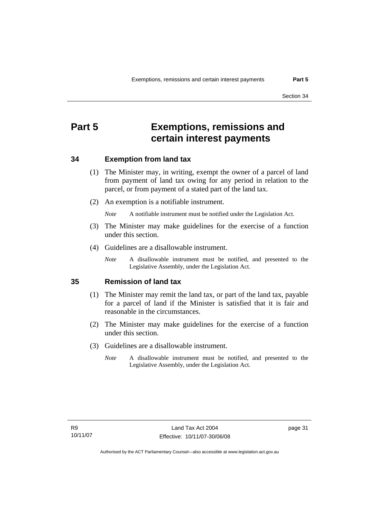# <span id="page-36-0"></span>**Part 5 Exemptions, remissions and certain interest payments**

### **34 Exemption from land tax**

- (1) The Minister may, in writing, exempt the owner of a parcel of land from payment of land tax owing for any period in relation to the parcel, or from payment of a stated part of the land tax.
- (2) An exemption is a notifiable instrument.

*Note* A notifiable instrument must be notified under the Legislation Act.

- (3) The Minister may make guidelines for the exercise of a function under this section.
- (4) Guidelines are a disallowable instrument.
	- *Note* A disallowable instrument must be notified, and presented to the Legislative Assembly, under the Legislation Act.

### **35 Remission of land tax**

- (1) The Minister may remit the land tax, or part of the land tax, payable for a parcel of land if the Minister is satisfied that it is fair and reasonable in the circumstances.
- (2) The Minister may make guidelines for the exercise of a function under this section.
- (3) Guidelines are a disallowable instrument.
	- *Note* A disallowable instrument must be notified, and presented to the Legislative Assembly, under the Legislation Act.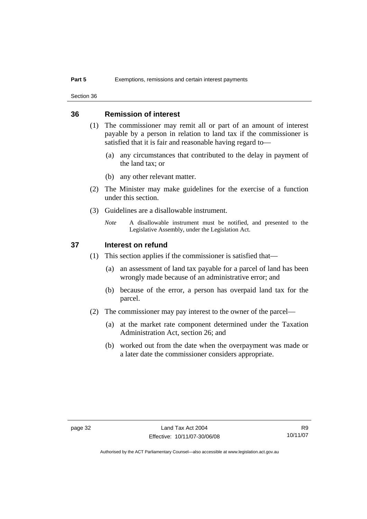<span id="page-37-0"></span>Section 36

### **36 Remission of interest**

- (1) The commissioner may remit all or part of an amount of interest payable by a person in relation to land tax if the commissioner is satisfied that it is fair and reasonable having regard to—
	- (a) any circumstances that contributed to the delay in payment of the land tax; or
	- (b) any other relevant matter.
- (2) The Minister may make guidelines for the exercise of a function under this section.
- (3) Guidelines are a disallowable instrument.
	- *Note* A disallowable instrument must be notified, and presented to the Legislative Assembly, under the Legislation Act.

### **37 Interest on refund**

- (1) This section applies if the commissioner is satisfied that—
	- (a) an assessment of land tax payable for a parcel of land has been wrongly made because of an administrative error; and
	- (b) because of the error, a person has overpaid land tax for the parcel.
- (2) The commissioner may pay interest to the owner of the parcel—
	- (a) at the market rate component determined under the Taxation Administration Act, section 26; and
	- (b) worked out from the date when the overpayment was made or a later date the commissioner considers appropriate.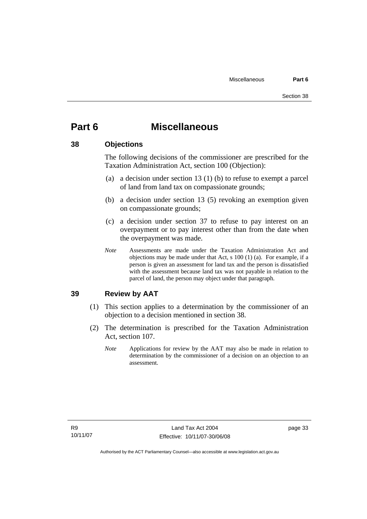# <span id="page-38-0"></span>**Part 6 Miscellaneous**

### **38 Objections**

The following decisions of the commissioner are prescribed for the Taxation Administration Act, section 100 (Objection):

- (a) a decision under section 13 (1) (b) to refuse to exempt a parcel of land from land tax on compassionate grounds;
- (b) a decision under section 13 (5) revoking an exemption given on compassionate grounds;
- (c) a decision under section 37 to refuse to pay interest on an overpayment or to pay interest other than from the date when the overpayment was made.
- *Note* Assessments are made under the Taxation Administration Act and objections may be made under that Act, s 100 (1) (a). For example, if a person is given an assessment for land tax and the person is dissatisfied with the assessment because land tax was not payable in relation to the parcel of land, the person may object under that paragraph.

### **39 Review by AAT**

- (1) This section applies to a determination by the commissioner of an objection to a decision mentioned in section 38.
- (2) The determination is prescribed for the Taxation Administration Act, section 107.
	- *Note* Applications for review by the AAT may also be made in relation to determination by the commissioner of a decision on an objection to an assessment.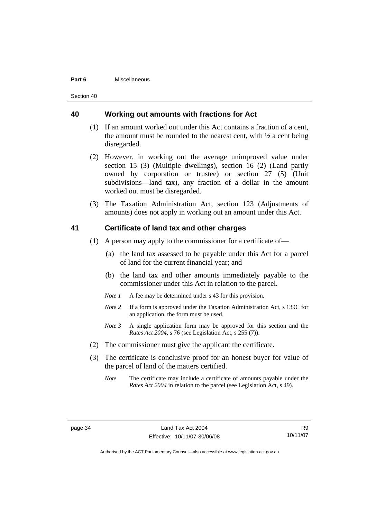#### <span id="page-39-0"></span>**Part 6** Miscellaneous

Section 40

### **40 Working out amounts with fractions for Act**

- (1) If an amount worked out under this Act contains a fraction of a cent, the amount must be rounded to the nearest cent, with  $\frac{1}{2}$  a cent being disregarded.
- (2) However, in working out the average unimproved value under section 15 (3) (Multiple dwellings), section 16 (2) (Land partly owned by corporation or trustee) or section 27 (5) (Unit subdivisions—land tax), any fraction of a dollar in the amount worked out must be disregarded.
- (3) The Taxation Administration Act, section 123 (Adjustments of amounts) does not apply in working out an amount under this Act.

### **41 Certificate of land tax and other charges**

- (1) A person may apply to the commissioner for a certificate of—
	- (a) the land tax assessed to be payable under this Act for a parcel of land for the current financial year; and
	- (b) the land tax and other amounts immediately payable to the commissioner under this Act in relation to the parcel.
	- *Note 1* A fee may be determined under s 43 for this provision.
	- *Note 2* If a form is approved under the Taxation Administration Act, s 139C for an application, the form must be used.
	- *Note 3* A single application form may be approved for this section and the *Rates Act 2004*, s 76 (see Legislation Act, s 255 (7)).
- (2) The commissioner must give the applicant the certificate.
- (3) The certificate is conclusive proof for an honest buyer for value of the parcel of land of the matters certified.
	- *Note* The certificate may include a certificate of amounts payable under the *Rates Act 2004* in relation to the parcel (see Legislation Act, s 49).

R9 10/11/07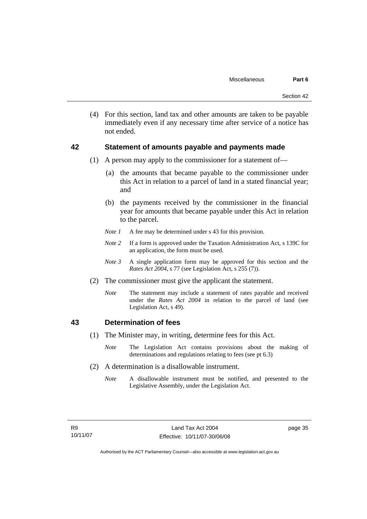<span id="page-40-0"></span> (4) For this section, land tax and other amounts are taken to be payable immediately even if any necessary time after service of a notice has not ended.

### **42 Statement of amounts payable and payments made**

- (1) A person may apply to the commissioner for a statement of—
	- (a) the amounts that became payable to the commissioner under this Act in relation to a parcel of land in a stated financial year; and
	- (b) the payments received by the commissioner in the financial year for amounts that became payable under this Act in relation to the parcel.
	- *Note 1* A fee may be determined under s 43 for this provision.
	- *Note 2* If a form is approved under the Taxation Administration Act, s 139C for an application, the form must be used.
	- *Note 3* A single application form may be approved for this section and the *Rates Act 2004*, s 77 (see Legislation Act, s 255 (7)).
- (2) The commissioner must give the applicant the statement.
	- *Note* The statement may include a statement of rates payable and received under the *Rates Act 2004* in relation to the parcel of land (see Legislation Act, s 49).

### **43 Determination of fees**

- (1) The Minister may, in writing, determine fees for this Act.
	- *Note* The Legislation Act contains provisions about the making of determinations and regulations relating to fees (see pt 6.3)
- (2) A determination is a disallowable instrument.
	- *Note* A disallowable instrument must be notified, and presented to the Legislative Assembly, under the Legislation Act.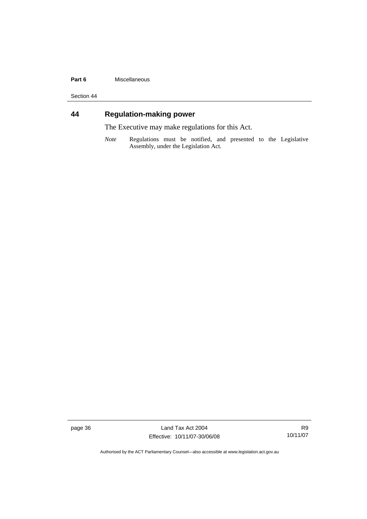#### <span id="page-41-0"></span>**Part 6** Miscellaneous

Section 44

# **44 Regulation-making power**

The Executive may make regulations for this Act.

*Note* Regulations must be notified, and presented to the Legislative Assembly, under the Legislation Act.

page 36 Land Tax Act 2004 Effective: 10/11/07-30/06/08

R9 10/11/07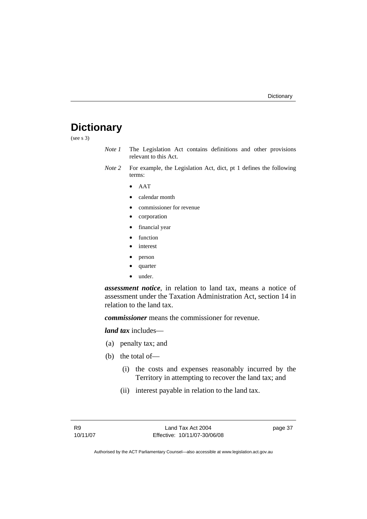# <span id="page-42-0"></span>**Dictionary**

(see s 3)

- *Note 1* The Legislation Act contains definitions and other provisions relevant to this Act.
- *Note 2* For example, the Legislation Act, dict, pt 1 defines the following terms:
	- AAT
	- calendar month
	- commissioner for revenue
	- corporation
	- financial year
	- function
	- *interest*
	- person
	- quarter
	- under.

*assessment notice*, in relation to land tax, means a notice of assessment under the Taxation Administration Act, section 14 in relation to the land tax.

*commissioner* means the commissioner for revenue.

*land tax* includes—

- (a) penalty tax; and
- (b) the total of—
	- (i) the costs and expenses reasonably incurred by the Territory in attempting to recover the land tax; and
	- (ii) interest payable in relation to the land tax.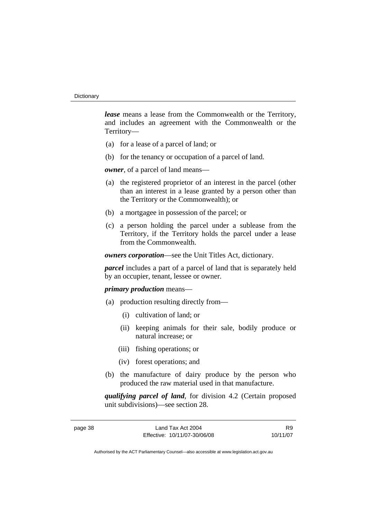*lease* means a lease from the Commonwealth or the Territory, and includes an agreement with the Commonwealth or the Territory—

- (a) for a lease of a parcel of land; or
- (b) for the tenancy or occupation of a parcel of land.

*owner*, of a parcel of land means—

- (a) the registered proprietor of an interest in the parcel (other than an interest in a lease granted by a person other than the Territory or the Commonwealth); or
- (b) a mortgagee in possession of the parcel; or
- (c) a person holding the parcel under a sublease from the Territory, if the Territory holds the parcel under a lease from the Commonwealth.

*owners corporation*—see the Unit Titles Act, dictionary.

*parcel* includes a part of a parcel of land that is separately held by an occupier, tenant, lessee or owner.

### *primary production* means—

- (a) production resulting directly from—
	- (i) cultivation of land; or
	- (ii) keeping animals for their sale, bodily produce or natural increase; or
	- (iii) fishing operations; or
	- (iv) forest operations; and
- (b) the manufacture of dairy produce by the person who produced the raw material used in that manufacture.

*qualifying parcel of land*, for division 4.2 (Certain proposed unit subdivisions)—see section 28.

| page 38 |  |
|---------|--|
|---------|--|

R9 10/11/07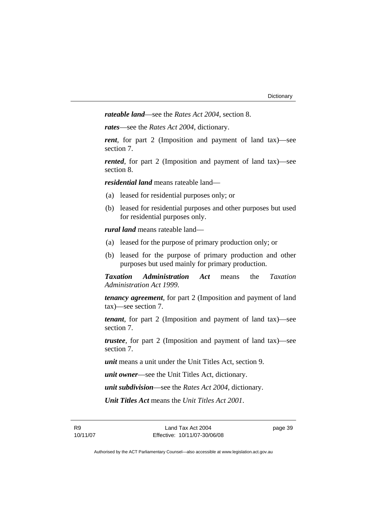*rateable land*—see the *Rates Act 2004*, section 8.

*rates*—see the *Rates Act 2004*, dictionary.

*rent*, for part 2 (Imposition and payment of land tax)—see section 7.

*rented*, for part 2 (Imposition and payment of land tax)—see section 8.

*residential land* means rateable land—

- (a) leased for residential purposes only; or
- (b) leased for residential purposes and other purposes but used for residential purposes only.

*rural land* means rateable land—

- (a) leased for the purpose of primary production only; or
- (b) leased for the purpose of primary production and other purposes but used mainly for primary production.

*Taxation Administration Act* means the *Taxation Administration Act 1999*.

*tenancy agreement*, for part 2 (Imposition and payment of land tax)—see section 7.

*tenant*, for part 2 (Imposition and payment of land tax)—see section 7.

*trustee*, for part 2 (Imposition and payment of land tax)—see section 7.

*unit* means a unit under the Unit Titles Act, section 9.

*unit owner*—see the Unit Titles Act, dictionary.

*unit subdivision*—see the *Rates Act 2004*, dictionary.

*Unit Titles Act* means the *Unit Titles Act 2001*.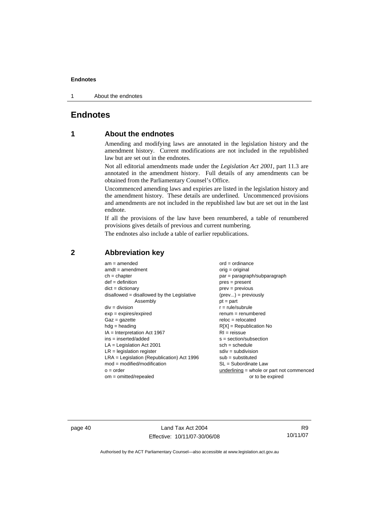<span id="page-45-0"></span>1 About the endnotes

### **Endnotes**

### **1 About the endnotes**

Amending and modifying laws are annotated in the legislation history and the amendment history. Current modifications are not included in the republished law but are set out in the endnotes.

Not all editorial amendments made under the *Legislation Act 2001*, part 11.3 are annotated in the amendment history. Full details of any amendments can be obtained from the Parliamentary Counsel's Office.

Uncommenced amending laws and expiries are listed in the legislation history and the amendment history. These details are underlined. Uncommenced provisions and amendments are not included in the republished law but are set out in the last endnote.

If all the provisions of the law have been renumbered, a table of renumbered provisions gives details of previous and current numbering.

The endnotes also include a table of earlier republications.

| $am = amended$                               | $ord = ordinance$                         |
|----------------------------------------------|-------------------------------------------|
| $amdt = amendment$                           | $orig = original$                         |
| $ch = chapter$                               | par = paragraph/subparagraph              |
| $def = definition$                           | $pres = present$                          |
| $dict = dictionary$                          | $prev = previous$                         |
| disallowed = disallowed by the Legislative   | $(\text{prev}) = \text{previously}$       |
| Assembly                                     | $pt = part$                               |
| $div = division$                             | $r = rule/subrule$                        |
| $exp = expires/expired$                      | $renum = renumbered$                      |
| $Gaz = gazette$                              | $reloc = relocated$                       |
| $hdg =$ heading                              | $R[X]$ = Republication No                 |
| $IA = Interpretation Act 1967$               | $RI = reissue$                            |
| $ins = inserted/added$                       | $s = section/subsection$                  |
| $LA =$ Legislation Act 2001                  | $sch = schedule$                          |
| $LR =$ legislation register                  | $sdiv = subdivision$                      |
| $LRA =$ Legislation (Republication) Act 1996 | $sub = substituted$                       |
| $mod = modified/modification$                | SL = Subordinate Law                      |
| $o = order$                                  | underlining = whole or part not commenced |
| $om = omitted/report$                        | or to be expired                          |
|                                              |                                           |

### **2 Abbreviation key**

page 40 Land Tax Act 2004 Effective: 10/11/07-30/06/08

R9 10/11/07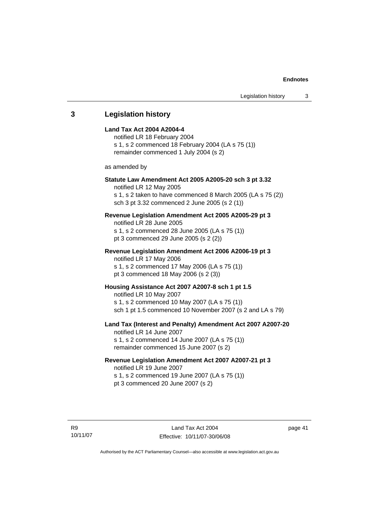### <span id="page-46-0"></span>**3 Legislation history Land Tax Act 2004 A2004-4**  notified LR 18 February 2004 s 1, s 2 commenced 18 February 2004 (LA s 75 (1)) remainder commenced 1 July 2004 (s 2) as amended by **Statute Law Amendment Act 2005 A2005-20 sch 3 pt 3.32**  notified LR 12 May 2005 s 1, s 2 taken to have commenced 8 March 2005 (LA s 75 (2)) sch 3 pt 3.32 commenced 2 June 2005 (s 2 (1)) **Revenue Legislation Amendment Act 2005 A2005-29 pt 3**  notified LR 28 June 2005 s 1, s 2 commenced 28 June 2005 (LA s 75 (1)) pt 3 commenced 29 June 2005 (s 2 (2)) **Revenue Legislation Amendment Act 2006 A2006-19 pt 3**  notified LR 17 May 2006 s 1, s 2 commenced 17 May 2006 (LA s 75 (1)) pt 3 commenced 18 May 2006 (s 2 (3)) **Housing Assistance Act 2007 A2007-8 sch 1 pt 1.5**  notified LR 10 May 2007 s 1, s 2 commenced 10 May 2007 (LA s 75 (1)) sch 1 pt 1.5 commenced 10 November 2007 (s 2 and LA s 79) **Land Tax (Interest and Penalty) Amendment Act 2007 A2007-20**  notified LR 14 June 2007 s 1, s 2 commenced 14 June 2007 (LA s 75 (1)) remainder commenced 15 June 2007 (s 2) **Revenue Legislation Amendment Act 2007 A2007-21 pt 3**  notified LR 19 June 2007 s 1, s 2 commenced 19 June 2007 (LA s 75 (1)) pt 3 commenced 20 June 2007 (s 2)

page 41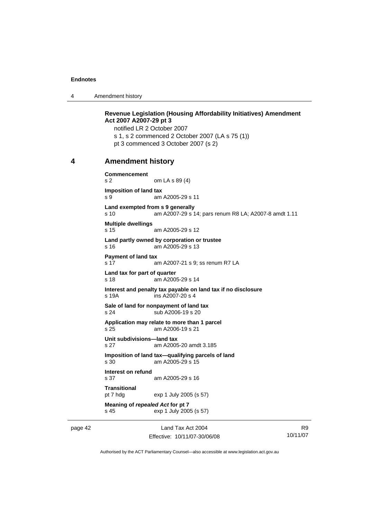<span id="page-47-0"></span>4 Amendment history

**Revenue Legislation (Housing Affordability Initiatives) Amendment Act 2007 A2007-29 pt 3**  notified LR 2 October 2007 s 1, s 2 commenced 2 October 2007 (LA s 75 (1)) pt 3 commenced 3 October 2007 (s 2) **4 Amendment history Commencement**  s 2 om LA s 89 (4) **Imposition of land tax**  s 9 am A2005-29 s 11 **Land exempted from s 9 generally**  s 10 am A2007-29 s 14; pars renum R8 LA; A2007-8 amdt 1.11 **Multiple dwellings**  s 15 am A2005-29 s 12 **Land partly owned by corporation or trustee**  s 16 am A2005-29 s 13 **Payment of land tax**  s 17 am A2007-21 s 9; ss renum R7 LA **Land tax for part of quarter**  s 18 am A2005-29 s 14 **Interest and penalty tax payable on land tax if no disclosure**  s 19A ins A2007-20 s 4 **Sale of land for nonpayment of land tax**  s 24 sub A2006-19 s 20 **Application may relate to more than 1 parcel**  s 25 am A2006-19 s 21 **Unit subdivisions—land tax**  s 27 am A2005-20 amdt 3.185 **Imposition of land tax—qualifying parcels of land**<br>s 30 am A2005-29 s 15 am A2005-29 s 15 **Interest on refund**  s 37 am A2005-29 s 16 **Transitional**  pt 7 hdg exp 1 July 2005 (s 57) **Meaning of** *repealed Act* **for pt 7**  s 45 exp 1 July 2005 (s 57)

page 42 Land Tax Act 2004 Effective: 10/11/07-30/06/08

R9 10/11/07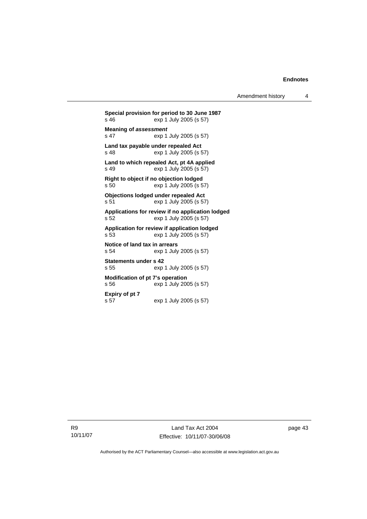Amendment history 4

**Special provision for period to 30 June 1987**  exp 1 July 2005 (s 57) **Meaning of** *assessment* s 47 exp 1 July 2005 (s 57) **Land tax payable under repealed Act**  exp 1 July 2005 (s 57) **Land to which repealed Act, pt 4A applied**  s 49 exp 1 July 2005 (s 57) **Right to object if no objection lodged**<br>s 50 exp 1 July 2005 (s 5 exp 1 July 2005 (s 57) **Objections lodged under repealed Act**  s 51 exp 1 July 2005 (s 57) **Applications for review if no application lodged**  s 52 exp 1 July 2005 (s 57) **Application for review if application lodged**  s 53 exp 1 July 2005 (s 57) **Notice of land tax in arrears**  s 54 exp 1 July 2005 (s 57) **Statements under s 42**  s 55 exp 1 July 2005 (s 57) **Modification of pt 7's operation**  s 56 exp 1 July 2005 (s 57) **Expiry of pt 7**  s 57 exp 1 July 2005 (s 57)

R9 10/11/07 page 43